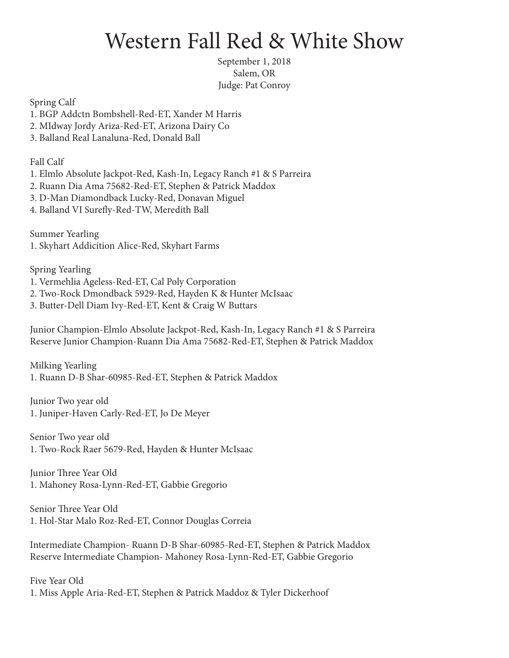## Western Fall Red & White Show

September 1, 2018 Salem, OR Judge: Pat Conroy

Spring Calf

- 1. BGP Addctn Bombshell-Red-ET, Xander M Harris
- 2. MIdway Jordy Ariza-Red-ET, Arizona Dairy Co
- 3. Balland Real Lanaluna-Red, Donald Ball

Fall Calf

- 1. Elmlo Absolute Jackpot-Red, Kash-In, Legacy Ranch #1 & S Parreira
- 2. Ruann Dia Ama 75682-Red-ET, Stephen & Patrick Maddox
- 3. D-Man Diamondback Lucky-Red, Donavan Miguel
- 4. Balland VI Surefly-Red-TW, Meredith Ball

Summer Yearling 1. Skyhart Addicition Alice-Red, Skyhart Farms

Spring Yearling

- 1. Vermehlia Ageless-Red-ET, Cal Poly Corporation
- 2. Two-Rock Dmondback 5929-Red, Hayden K & Hunter McIsaac
- 3. Butter-Dell Diam Ivy-Red-ET, Kent & Craig W Buttars

Junior Champion-Elmlo Absolute Jackpot-Red, Kash-In, Legacy Ranch #1 & S Parreira Reserve Junior Champion-Ruann Dia Ama 75682-Red-ET, Stephen & Patrick Maddox

Milking Yearling 1. Ruann D-B Shar-60985-Red-ET, Stephen & Patrick Maddox

Junior Two year old 1. Juniper-Haven Carly-Red-ET, Jo De Meyer

Senior Two year old 1. Two-Rock Raer 5679-Red, Hayden & Hunter McIsaac

Junior Three Year Old 1. Mahoney Rosa-Lynn-Red-ET, Gabbie Gregorio

Senior Three Year Old 1. Hol-Star Malo Roz-Red-ET, Connor Douglas Correia

Intermediate Champion- Ruann D-B Shar-60985-Red-ET, Stephen & Patrick Maddox Reserve Intermediate Champion- Mahoney Rosa-Lynn-Red-ET, Gabbie Gregorio

Five Year Old 1. Miss Apple Aria-Red-ET, Stephen & Patrick Maddoz & Tyler Dickerhoof